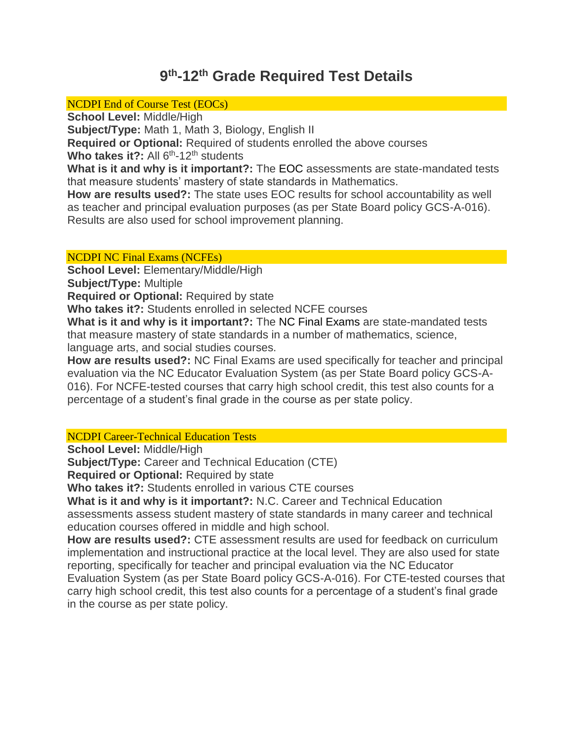# **9 th-12th Grade Required Test Details**

NCDPI End of Course Test (EOCs)

**School Level:** Middle/High

**Subject/Type:** Math 1, Math 3, Biology, English II

**Required or Optional:** Required of students enrolled the above courses

Who takes it?: All 6<sup>th</sup>-12<sup>th</sup> students

**What is it and why is it important?:** The EOC assessments are state-mandated tests that measure students' mastery of state standards in Mathematics.

**How are results used?:** The state uses EOC results for school accountability as well as teacher and principal evaluation purposes (as per State Board policy GCS-A-016). Results are also used for school improvement planning.

# NCDPI NC Final Exams (NCFEs)

**School Level:** Elementary/Middle/High

**Subject/Type:** Multiple

**Required or Optional:** Required by state

**Who takes it?:** Students enrolled in selected NCFE courses

**What is it and why is it important?:** The NC Final Exams are state-mandated tests that measure mastery of state standards in a number of mathematics, science, language arts, and social studies courses.

**How are results used?:** NC Final Exams are used specifically for teacher and principal evaluation via the NC Educator Evaluation System (as per State Board policy GCS-A-016). For NCFE-tested courses that carry high school credit, this test also counts for a percentage of a student's final grade in the course as per state policy.

# NCDPI Career-Technical Education Tests

**School Level:** Middle/High

**Subject/Type:** Career and Technical Education (CTE)

**Required or Optional:** Required by state

**Who takes it?:** Students enrolled in various CTE courses

**What is it and why is it important?:** N.C. Career and Technical Education

assessments assess student mastery of state standards in many career and technical education courses offered in middle and high school.

**How are results used?:** CTE assessment results are used for feedback on curriculum implementation and instructional practice at the local level. They are also used for state reporting, specifically for teacher and principal evaluation via the NC Educator Evaluation System (as per State Board policy GCS-A-016). For CTE-tested courses that carry high school credit, this test also counts for a percentage of a student's final grade in the course as per state policy.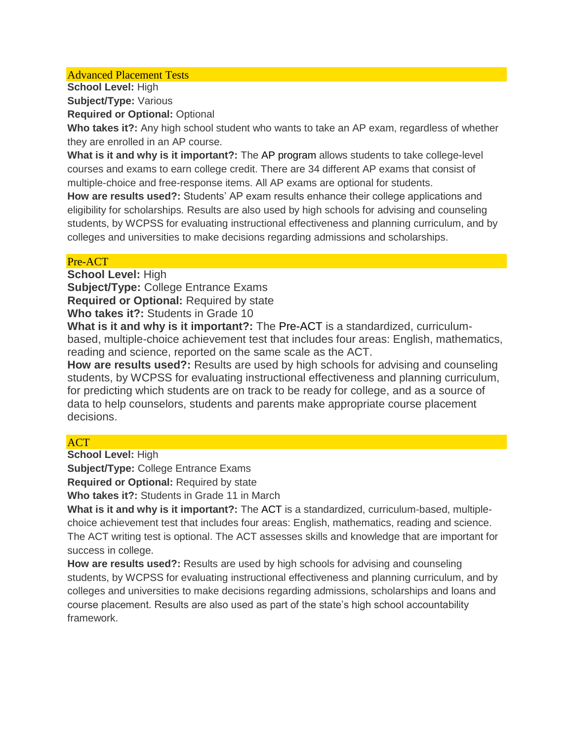#### Advanced Placement Tests

**School Level:** High **Subject/Type:** Various **Required or Optional:** Optional

**Who takes it?:** Any high school student who wants to take an AP exam, regardless of whether they are enrolled in an AP course.

**What is it and why is it important?:** The AP program allows students to take college-level courses and exams to earn college credit. There are 34 different AP exams that consist of multiple-choice and free-response items. All AP exams are optional for students.

**How are results used?:** Students' AP exam results enhance their college applications and eligibility for scholarships. Results are also used by high schools for advising and counseling students, by WCPSS for evaluating instructional effectiveness and planning curriculum, and by colleges and universities to make decisions regarding admissions and scholarships.

#### Pre-ACT

**School Level:** High

**Subject/Type:** College Entrance Exams

**Required or Optional:** Required by state

**Who takes it?:** Students in Grade 10

**What is it and why is it important?:** The Pre-ACT is a standardized, curriculumbased, multiple-choice achievement test that includes four areas: English, mathematics, reading and science, reported on the same scale as the ACT.

**How are results used?:** Results are used by high schools for advising and counseling students, by WCPSS for evaluating instructional effectiveness and planning curriculum, for predicting which students are on track to be ready for college, and as a source of data to help counselors, students and parents make appropriate course placement decisions.

# **ACT**

**School Level:** High

**Subject/Type:** College Entrance Exams

**Required or Optional:** Required by state

**Who takes it?:** Students in Grade 11 in March

**What is it and why is it important?:** The ACT is a standardized, curriculum-based, multiplechoice achievement test that includes four areas: English, mathematics, reading and science. The ACT writing test is optional. The ACT assesses skills and knowledge that are important for success in college.

**How are results used?:** Results are used by high schools for advising and counseling students, by WCPSS for evaluating instructional effectiveness and planning curriculum, and by colleges and universities to make decisions regarding admissions, scholarships and loans and course placement. Results are also used as part of the state's high school accountability framework.